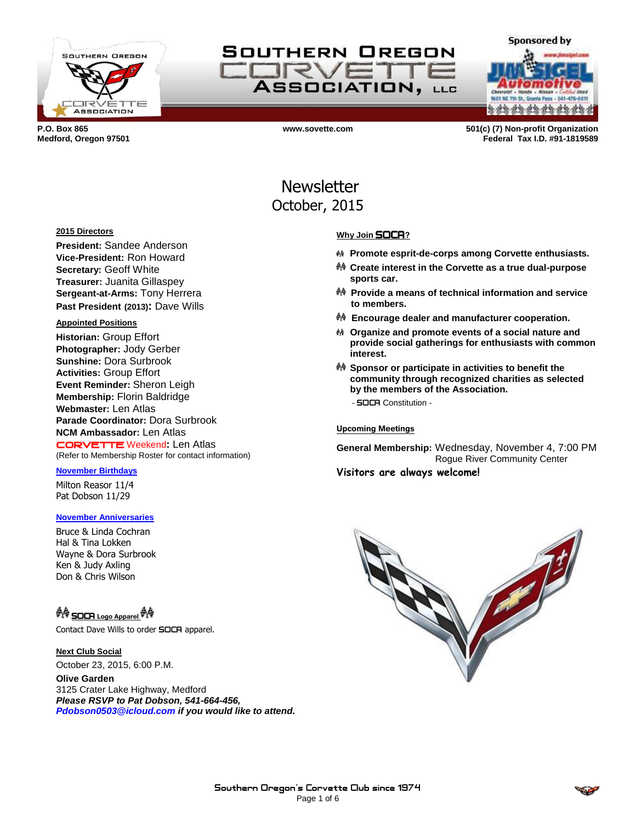

SOUTHERN OREGON **CORVE ASSOCIATION, LLG** 

**a da da da da da da da** 

**Sponsored by** 

**P.O. Box 865 www.sovette.com 501(c) (7) Non-profit Organization Medford, Oregon 97501 Federal Tax I.D. #91-1819589**

> **Newsletter** October, 2015

#### **2015 Directors**

**President:** Sandee Anderson **Vice-President:** Ron Howard **Secretary:** Geoff White **Treasurer:** Juanita Gillaspey **Sergeant-at-Arms:** Tony Herrera **Past President (2013):** Dave Wills

#### **Appointed Positions**

**Historian:** Group Effort **Photographer:** Jody Gerber **Sunshine:** Dora Surbrook **Activities:** Group Effort **Event Reminder:** Sheron Leigh **Membership:** Florin Baldridge **Webmaster:** Len Atlas **Parade Coordinator:** Dora Surbrook **NCM Ambassador:** Len Atlas CORVETTE Weekend**:** Len Atlas (Refer to Membership Roster for contact information)

#### **November Birthdays**

Milton Reasor 11/4 Pat Dobson 11/29

#### **November Anniversaries**

Bruce & Linda Cochran Hal & Tina Lokken Wayne & Dora Surbrook Ken & Judy Axling Don & Chris Wilson

## <sup>O</sup> SOCR Logo Apparel <sup>O</sup> A

Contact Dave Wills to order **SOCA** apparel.

### **Next Club Social**

October 23, 2015, 6:00 P.M.

**Olive Garden** 3125 Crater Lake Highway, Medford *Please RSVP to Pat Dobson, 541-664-456, Pdobson0503@icloud.com if you would like to attend.*

#### **Why Join** SOCA**?**

- **Promote esprit-de-corps among Corvette enthusiasts.**
- **Create interest in the Corvette as a true dual-purpose sports car.**
- **Provide a means of technical information and service to members.**
- **Encourage dealer and manufacturer cooperation.**
- **Organize and promote events of a social nature and provide social gatherings for enthusiasts with common interest.**
- **Sponsor or participate in activities to benefit the community through recognized charities as selected by the members of the Association.** - SOCA Constitution -

## **Upcoming Meetings**

**General Membership:** Wednesday, November 4, 7:00 PM Rogue River Community Center **Visitors are always welcome!**



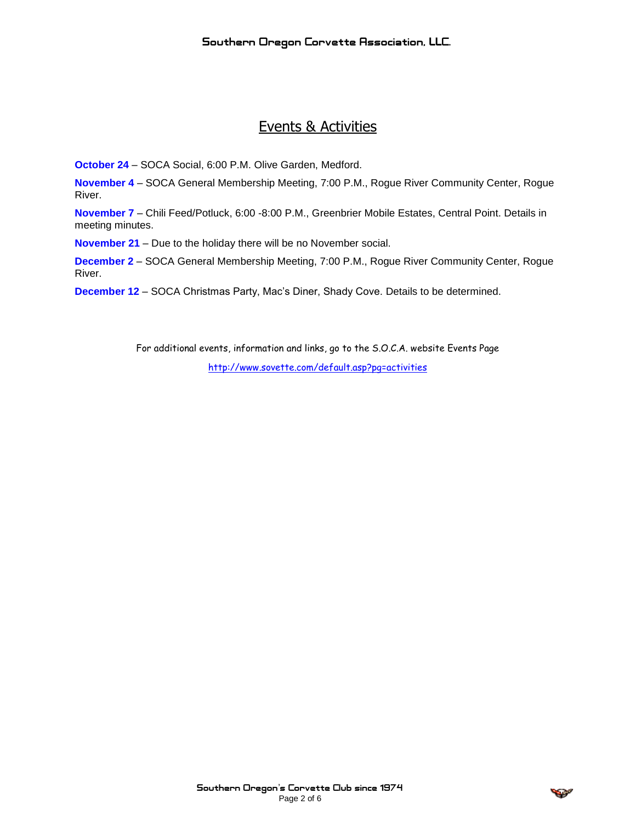# Events & Activities

**October 24** – SOCA Social, 6:00 P.M. Olive Garden, Medford.

**November 4** – SOCA General Membership Meeting, 7:00 P.M., Rogue River Community Center, Rogue River.

**November 7** – Chili Feed/Potluck, 6:00 -8:00 P.M., Greenbrier Mobile Estates, Central Point. Details in meeting minutes.

**November 21** – Due to the holiday there will be no November social.

**December 2** – SOCA General Membership Meeting, 7:00 P.M., Rogue River Community Center, Rogue River.

**December 12** – SOCA Christmas Party, Mac's Diner, Shady Cove. Details to be determined.

For additional events, information and links, go to the S.O.C.A. website Events Page

<http://www.sovette.com/default.asp?pg=activities>

$$
\mathcal{L}(\mathcal{P})
$$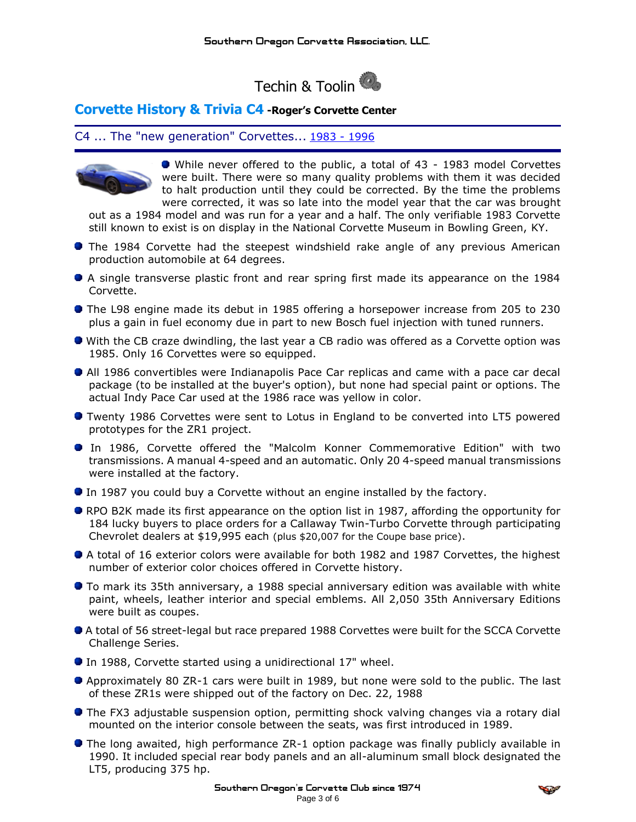

## **Corvette History & Trivia C4 -Roger's Corvette Center**

C4 ... The "new generation" Corvettes... [1983](http://www.rogerscorvette.com/specs/83.htm) - [1996](http://www.rogerscorvette.com/specs/96.htm)



While never offered to the public, a total of 43 - 1983 model Corvettes were built. There were so many quality problems with them it was decided to halt production until they could be corrected. By the time the problems were corrected, it was so late into the model year that the car was brought

out as a 1984 model and was run for a year and a half. The only verifiable 1983 Corvette still known to exist is on display in the National Corvette Museum in Bowling Green, KY.

- **•** The 1984 Corvette had the steepest windshield rake angle of any previous American production automobile at 64 degrees.
- A single transverse plastic front and rear spring first made its appearance on the 1984 Corvette.
- The L98 engine made its debut in 1985 offering a horsepower increase from 205 to 230 plus a gain in fuel economy due in part to new Bosch fuel injection with tuned runners.
- With the CB craze dwindling, the last year a CB radio was offered as a Corvette option was 1985. Only 16 Corvettes were so equipped.
- All 1986 convertibles were Indianapolis Pace Car replicas and came with a pace car decal package (to be installed at the buyer's option), but none had special paint or options. The actual Indy Pace Car used at the 1986 race was yellow in color.
- Twenty 1986 Corvettes were sent to Lotus in England to be converted into LT5 powered prototypes for the ZR1 project.
- In 1986, Corvette offered the "Malcolm Konner Commemorative Edition" with two transmissions. A manual 4-speed and an automatic. Only 20 4-speed manual transmissions were installed at the factory.
- In 1987 you could buy a Corvette without an engine installed by the factory.
- RPO B2K made its first appearance on the option list in 1987, affording the opportunity for 184 lucky buyers to place orders for a Callaway Twin-Turbo Corvette through participating Chevrolet dealers at \$19,995 each (plus \$20,007 for the Coupe base price).
- A total of 16 exterior colors were available for both 1982 and 1987 Corvettes, the highest number of exterior color choices offered in Corvette history.
- **To mark its 35th anniversary, a 1988 special anniversary edition was available with white** paint, wheels, leather interior and special emblems. All 2,050 35th Anniversary Editions were built as coupes.
- A total of 56 street-legal but race prepared 1988 Corvettes were built for the SCCA Corvette Challenge Series.
- In 1988, Corvette started using a unidirectional 17" wheel.
- Approximately 80 ZR-1 cars were built in 1989, but none were sold to the public. The last of these ZR1s were shipped out of the factory on Dec. 22, 1988
- **The FX3 adjustable suspension option, permitting shock valving changes via a rotary dial** mounted on the interior console between the seats, was first introduced in 1989.
- **The long awaited, high performance ZR-1 option package was finally publicly available in** 1990. It included special rear body panels and an all-aluminum small block designated the LT5, producing 375 hp.